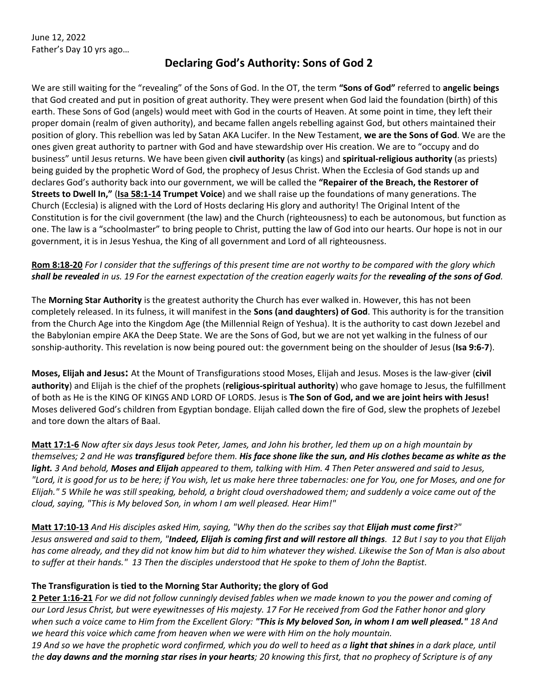June 12, 2022 Father's Day 10 yrs ago…

## **Declaring God's Authority: Sons of God 2**

We are still waiting for the "revealing" of the Sons of God. In the OT, the term **"Sons of God"** referred to **angelic beings** that God created and put in position of great authority. They were present when God laid the foundation (birth) of this earth. These Sons of God (angels) would meet with God in the courts of Heaven. At some point in time, they left their proper domain (realm of given authority), and became fallen angels rebelling against God, but others maintained their position of glory. This rebellion was led by Satan AKA Lucifer. In the New Testament, **we are the Sons of God**. We are the ones given great authority to partner with God and have stewardship over His creation. We are to "occupy and do business" until Jesus returns. We have been given **civil authority** (as kings) and **spiritual-religious authority** (as priests) being guided by the prophetic Word of God, the prophecy of Jesus Christ. When the Ecclesia of God stands up and declares God's authority back into our government, we will be called the **"Repairer of the Breach, the Restorer of Streets to Dwell In,"** (**Isa 58:1-14 Trumpet Voice**) and we shall raise up the foundations of many generations. The Church (Ecclesia) is aligned with the Lord of Hosts declaring His glory and authority! The Original Intent of the Constitution is for the civil government (the law) and the Church (righteousness) to each be autonomous, but function as one. The law is a "schoolmaster" to bring people to Christ, putting the law of God into our hearts. Our hope is not in our government, it is in Jesus Yeshua, the King of all government and Lord of all righteousness.

## **Rom 8:18-20** *For I consider that the sufferings of this present time are not worthy to be compared with the glory which shall be revealed in us. 19 For the earnest expectation of the creation eagerly waits for the revealing of the sons of God.*

The **Morning Star Authority** is the greatest authority the Church has ever walked in. However, this has not been completely released. In its fulness, it will manifest in the **Sons (and daughters) of God**. This authority is for the transition from the Church Age into the Kingdom Age (the Millennial Reign of Yeshua). It is the authority to cast down Jezebel and the Babylonian empire AKA the Deep State. We are the Sons of God, but we are not yet walking in the fulness of our sonship-authority. This revelation is now being poured out: the government being on the shoulder of Jesus (**Isa 9:6-7**).

**Moses, Elijah and Jesus:** At the Mount of Transfigurations stood Moses, Elijah and Jesus. Moses is the law-giver (**civil authority**) and Elijah is the chief of the prophets (**religious-spiritual authority**) who gave homage to Jesus, the fulfillment of both as He is the KING OF KINGS AND LORD OF LORDS. Jesus is **The Son of God, and we are joint heirs with Jesus!**  Moses delivered God's children from Egyptian bondage. Elijah called down the fire of God, slew the prophets of Jezebel and tore down the altars of Baal.

**Matt 17:1-6** *Now after six days Jesus took Peter, James, and John his brother, led them up on a high mountain by themselves; 2 and He was transfigured before them. His face shone like the sun, and His clothes became as white as the light. 3 And behold, Moses and Elijah appeared to them, talking with Him. 4 Then Peter answered and said to Jesus, "Lord, it is good for us to be here; if You wish, let us make here three tabernacles: one for You, one for Moses, and one for Elijah." 5 While he was still speaking, behold, a bright cloud overshadowed them; and suddenly a voice came out of the cloud, saying, "This is My beloved Son, in whom I am well pleased. Hear Him!"* 

**Matt 17:10-13** *And His disciples asked Him, saying, "Why then do the scribes say that Elijah must come first?" Jesus answered and said to them, "Indeed, Elijah is coming first and will restore all things. 12 But I say to you that Elijah has come already, and they did not know him but did to him whatever they wished. Likewise the Son of Man is also about to suffer at their hands." 13 Then the disciples understood that He spoke to them of John the Baptist.* 

## **The Transfiguration is tied to the Morning Star Authority; the glory of God**

**2 Peter 1:16-21** *For we did not follow cunningly devised fables when we made known to you the power and coming of our Lord Jesus Christ, but were eyewitnesses of His majesty. 17 For He received from God the Father honor and glory when such a voice came to Him from the Excellent Glory: "This is My beloved Son, in whom I am well pleased." 18 And we heard this voice which came from heaven when we were with Him on the holy mountain.* 

*19 And so we have the prophetic word confirmed, which you do well to heed as a light that shines in a dark place, until the day dawns and the morning star rises in your hearts; 20 knowing this first, that no prophecy of Scripture is of any*